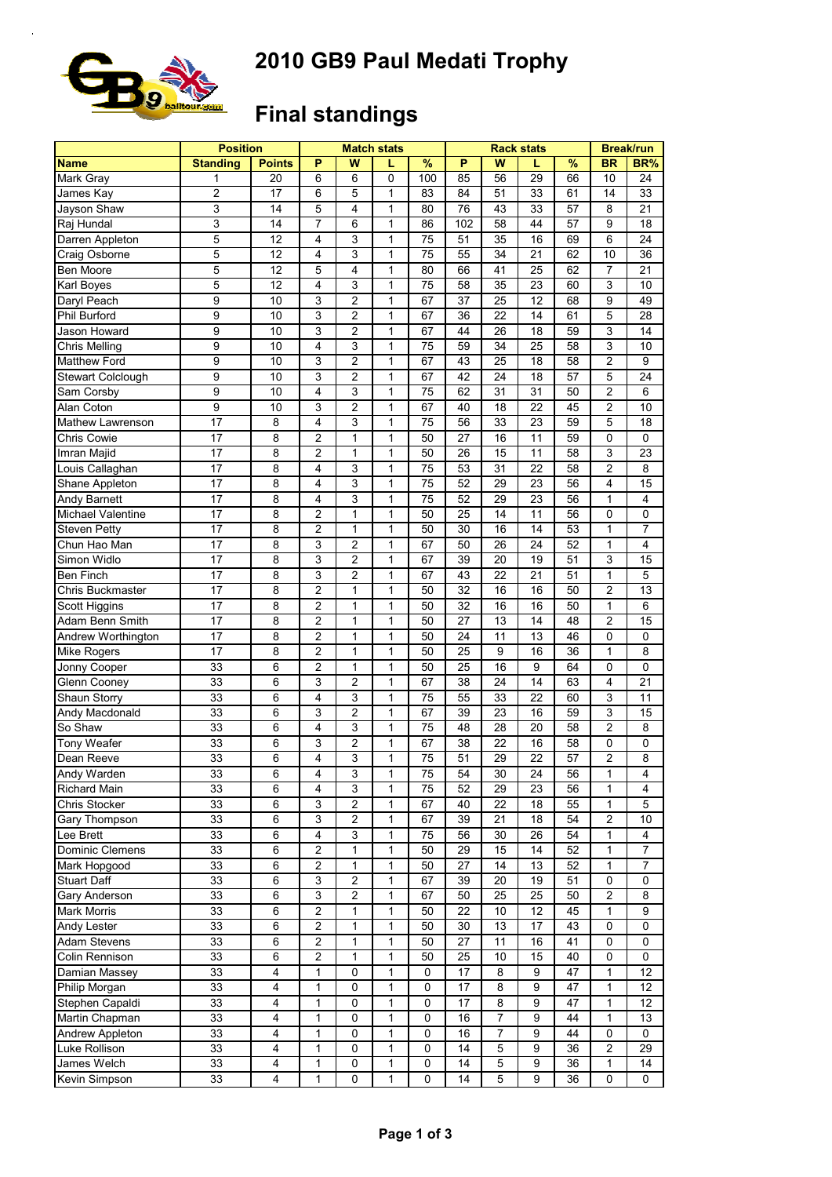

# **2010 GB9 Paul Medati Trophy**

## **Final standings**

|                                | <b>Position</b> |                         |                         |                | <b>Match stats</b> |             |                 | <b>Rack stats</b> | <b>Break/run</b> |          |                         |                 |
|--------------------------------|-----------------|-------------------------|-------------------------|----------------|--------------------|-------------|-----------------|-------------------|------------------|----------|-------------------------|-----------------|
| <b>Name</b>                    | <b>Standing</b> | <b>Points</b>           | P                       | W              | L                  | %           | P               | W                 | L                | %        | <b>BR</b>               | BR%             |
| Mark Gray                      | 1               | 20                      | 6                       | 6              | 0                  | 100         | 85              | 56                | 29               | 66       | 10                      | $\overline{24}$ |
| James Kay                      | 2               | 17                      | 6                       | 5              | 1                  | 83          | 84              | 51                | 33               | 61       | 14                      | 33              |
| Jayson Shaw                    | $\overline{3}$  | 14                      | 5                       | 4              | 1                  | 80          | 76              | 43                | 33               | 57       | 8                       | 21              |
| Raj Hundal                     | 3               | 14                      | $\overline{7}$          | 6              | $\mathbf{1}$       | 86          | 102             | 58                | 44               | 57       | 9                       | 18              |
| Darren Appleton                | 5               | 12                      | 4                       | 3              | $\mathbf{1}$       | 75          | 51              | 35                | 16               | 69       | 6                       | 24              |
| Craig Osborne                  | 5               | 12                      | 4                       | 3              | 1                  | 75          | 55              | 34                | 21               | 62       | 10                      | 36              |
| Ben Moore                      | 5               | 12                      | 5                       | 4              | 1                  | 80          | 66              | 41                | 25               | 62       | $\overline{7}$          | 21              |
| Karl Boyes                     | 5               | 12                      | 4                       | 3              | 1                  | 75          | 58              | 35                | 23               | 60       | $\mathsf 3$             | 10              |
| Daryl Peach                    | 9               | 10                      | 3                       | $\overline{2}$ | $\mathbf{1}$       | 67          | 37              | 25                | 12               | 68       | 9                       | 49              |
| Phil Burford                   | 9               | 10                      | 3                       | $\overline{2}$ | $\mathbf{1}$       | 67          | 36              | 22                | 14               | 61       | 5                       | 28              |
| Jason Howard                   | 9               | 10                      | 3                       | $\overline{c}$ | $\mathbf{1}$       | 67          | 44              | 26                | 18               | 59       | 3                       | 14              |
| Chris Melling                  | 9               | 10                      | 4                       | 3              | $\mathbf{1}$       | 75          | 59              | 34                | 25               | 58       | 3                       | 10              |
| Matthew Ford                   | $\overline{9}$  | 10                      | 3                       | $\overline{c}$ | $\mathbf{1}$       | 67          | 43              | 25                | 18               | 58       | $\overline{c}$          | 9               |
| Stewart Colclough              | 9               | 10                      | 3                       | 2              | 1                  | 67          | 42              | 24                | 18               | 57       | $\overline{5}$          | 24              |
| Sam Corsby                     | 9               | 10                      | 4                       | 3              | $\mathbf{1}$       | 75          | 62              | 31                | 31               | 50       | $\overline{2}$          | 6               |
| Alan Coton                     | 9               | 10                      | 3                       | 2              | $\mathbf{1}$       | 67          | 40              | 18                | 22               | 45       | $\overline{2}$          | 10              |
| Mathew Lawrenson               | 17              | 8                       | $\overline{4}$          | 3              | $\mathbf{1}$       | 75          | 56              | 33                | 23               | 59       | 5                       | 18              |
| Chris Cowie                    | 17              | 8                       | $\overline{2}$          | 1              | 1                  | 50          | 27              | 16                | 11               | 59       | $\mathbf 0$             | $\mathbf 0$     |
| Imran Majid                    | 17              | 8                       | $\overline{2}$          | 1              | 1                  | 50          | 26              | 15                | 11               | 58       | 3                       | 23              |
| Louis Callaghan                | 17              | 8                       | $\overline{4}$          | 3              | $\mathbf{1}$       | 75          | 53              | 31                | 22               | 58       | $\overline{2}$          | 8               |
|                                | 17              | 8                       | 4                       | 3              | $\mathbf{1}$       | 75          | 52              | 29                | 23               | 56       | $\overline{\mathbf{4}}$ | 15              |
| Shane Appleton                 |                 |                         | 4                       | 3              | $\mathbf{1}$       |             |                 | 29                |                  |          | $\mathbf{1}$            | 4               |
| Andy Barnett                   | 17              | 8                       |                         |                |                    | 75          | 52              |                   | 23<br>11         | 56       | $\mathbf 0$             | $\mathbf 0$     |
| Michael Valentine              | 17<br>17        | 8                       | $\overline{c}$          | 1              | $\mathbf{1}$       | 50          | 25<br>30        | 14                |                  | 56       |                         |                 |
| <b>Steven Petty</b>            |                 | 8                       | $\overline{c}$          | 1              | $\mathbf{1}$       | 50          |                 | 16                | 14               | 53       | $\mathbf{1}$            | $\overline{7}$  |
| Chun Hao Man                   | 17              | 8                       | 3                       | 2              | 1                  | 67          | 50              | 26                | 24               | 52       | $\mathbf{1}$            | 4               |
| Simon Widlo                    | 17              | 8                       | 3                       | $\overline{c}$ | $\mathbf{1}$       | 67          | 39              | 20                | 19               | 51       | 3                       | 15              |
| <b>Ben Finch</b>               | 17              | 8                       | 3                       | $\overline{c}$ | $\mathbf{1}$       | 67          | 43              | 22                | 21               | 51       | $\mathbf{1}$            | 5               |
| Chris Buckmaster               | 17              | 8                       | $\overline{2}$          | 1              | 1                  | 50          | 32              | 16                | 16               | 50       | $\overline{2}$          | 13              |
| Scott Higgins                  | 17              | 8                       | $\overline{2}$          | 1              | 1                  | 50          | 32              | 16                | 16               | 50       | $\mathbf{1}$            | 6               |
| Adam Benn Smith                | 17              | 8                       | $\overline{2}$          | 1              | 1                  | 50          | 27              | 13                | 14               | 48       | $\overline{2}$          | 15              |
| Andrew Worthington             | 17              | 8                       | $\overline{c}$          | 1              | $\mathbf{1}$       | 50          | 24              | 11                | 13               | 46       | $\mathbf 0$             | 0               |
| Mike Rogers                    | 17              | 8                       | $\overline{\mathbf{c}}$ | 1              | 1                  | 50          | 25              | 9                 | 16               | 36       | $\mathbf{1}$            | 8               |
| Jonny Cooper                   | 33              | 6                       | $\overline{c}$          | $\mathbf{1}$   | $\mathbf{1}$       | 50          | 25              | 16                | 9                | 64       | $\mathbf 0$             | $\mathbf 0$     |
| <b>Glenn Cooney</b>            | 33              | 6                       | 3                       | $\overline{c}$ | 1                  | 67          | $\overline{38}$ | $\overline{24}$   | 14               | 63       | $\overline{4}$          | $\overline{21}$ |
| Shaun Storry                   | 33              | 6                       | 4                       | 3              | 1                  | 75          | 55              | 33                | 22               | 60       | 3                       | 11              |
| Andy Macdonald                 | 33              | 6                       | 3                       | $\overline{c}$ | 1                  | 67          | 39              | 23                | 16               | 59       | 3                       | 15              |
| So Shaw                        | 33              | 6                       | 4                       | 3              | $\mathbf{1}$       | 75          | 48              | 28                | 20               | 58       | $\overline{2}$          | 8               |
| Tony Weafer                    | 33              | 6                       | 3                       | $\overline{c}$ | $\mathbf{1}$       | 67          | 38              | 22                | 16               | 58       | $\mathbf 0$             | 0               |
| Dean Reeve                     | 33              | 6                       | 4                       | 3              | $\mathbf{1}$       | 75          | 51              | 29                | 22               | 57       | $\overline{c}$          | 8               |
| Andy Warden                    | 33              | 6                       | 4                       | 3              | 1                  | 75          | 54              | 30                | 24               | 56       | 1                       | 4               |
| Richard Main                   | 33              | 6                       | 4                       | 3              | 1                  | 75          | 52              | 29                | 23               | 56       | 1                       | 4               |
| Chris Stocker                  | 33              | 6                       | 3                       | 2              | 1                  | 67          | 40              | 22                | 18               | 55       | 1                       | 5               |
| Gary Thompson                  | 33              | 6                       | 3                       | 2              | $\mathbf{1}$       | 67          | 39              | 21                | 18               | 54       | $\overline{c}$          | 10              |
| Lee Brett                      | 33              | 6                       | 4                       | 3              | 1                  | 75          | 56              | 30                | 26               | 54       | $\mathbf{1}$            | 4               |
| Dominic Clemens                | 33              | 6                       | $\overline{2}$          | 1              | 1                  | 50          | 29              | 15                | 14               | 52       | $\mathbf{1}$            | $\overline{7}$  |
| Mark Hopgood                   | 33              | 6                       | $\overline{2}$          | 1              | 1                  | 50          | 27              | 14                | 13               | 52       | $\mathbf{1}$            | $\overline{7}$  |
| <b>Stuart Daff</b>             | 33              | 6                       | 3                       | 2              | 1                  | 67          | 39              | 20                | 19               | 51       | 0                       | 0               |
| Gary Anderson                  | 33              | 6                       | $\overline{3}$          | $\overline{c}$ | $\mathbf{1}$       | 67          | 50              | 25                | 25               | 50       | $\overline{c}$          | 8               |
| Mark Morris                    | 33              | 6                       | $\overline{2}$          | 1              | 1                  | 50          | $\overline{22}$ | 10                | $\overline{12}$  | 45       | $\mathbf{1}$            | 9               |
| Andy Lester                    | 33              | 6                       | $\overline{2}$          | 1              | 1                  | 50          | 30              | 13                | 17               | 43       | $\pmb{0}$               | $\mathbf 0$     |
|                                | 33              | $\overline{6}$          | $\overline{2}$          | 1              | 1                  | 50          | $\overline{27}$ | 11                | 16               |          | $\pmb{0}$               | $\pmb{0}$       |
| Adam Stevens<br>Colin Rennison | 33              | 6                       | $\overline{2}$          | 1              | 1                  | 50          | 25              | 10                | 15               | 41<br>40 | $\pmb{0}$               | $\mathbf 0$     |
|                                |                 |                         |                         |                |                    |             |                 |                   |                  |          |                         |                 |
| Damian Massey                  | 33              | 4                       | 1                       | 0              | 1                  | $\mathbf 0$ | 17              | 8                 | 9                | 47       | 1                       | 12              |
| Philip Morgan                  | 33              | 4                       | $\mathbf{1}$            | 0              | 1                  | 0           | 17              | 8                 | 9                | 47       | $\mathbf{1}$            | 12              |
| Stephen Capaldi                | 33              | 4                       | $\mathbf{1}$            | 0              | $\mathbf{1}$       | 0           | 17              | 8                 | 9                | 47       | $\mathbf{1}$            | 12              |
| Martin Chapman                 | 33              | $\overline{\mathbf{4}}$ | 1                       | 0              | $\mathbf{1}$       | $\pmb{0}$   | 16              | $\overline{7}$    | $\boldsymbol{9}$ | 44       | $\mathbf{1}$            | 13              |
| Andrew Appleton                | 33              | $\overline{4}$          | 1                       | 0              | 1                  | $\mathbf 0$ | 16              | $\boldsymbol{7}$  | 9                | 44       | $\pmb{0}$               | 0               |
| Luke Rollison                  | 33              | 4                       | 1                       | 0              | 1                  | 0           | 14              | $\mathbf 5$       | 9                | 36       | $\overline{c}$          | 29              |
| James Welch                    | 33              | 4                       | 1                       | 0              | $\mathbf{1}$       | $\mathbf 0$ | 14              | $\overline{5}$    | $\boldsymbol{9}$ | 36       | $\mathbf{1}$            | 14              |
| Kevin Simpson                  | 33              | 4                       | 1                       | 0              | 1                  | 0           | 14              | 5                 | 9                | 36       | 0                       | 0               |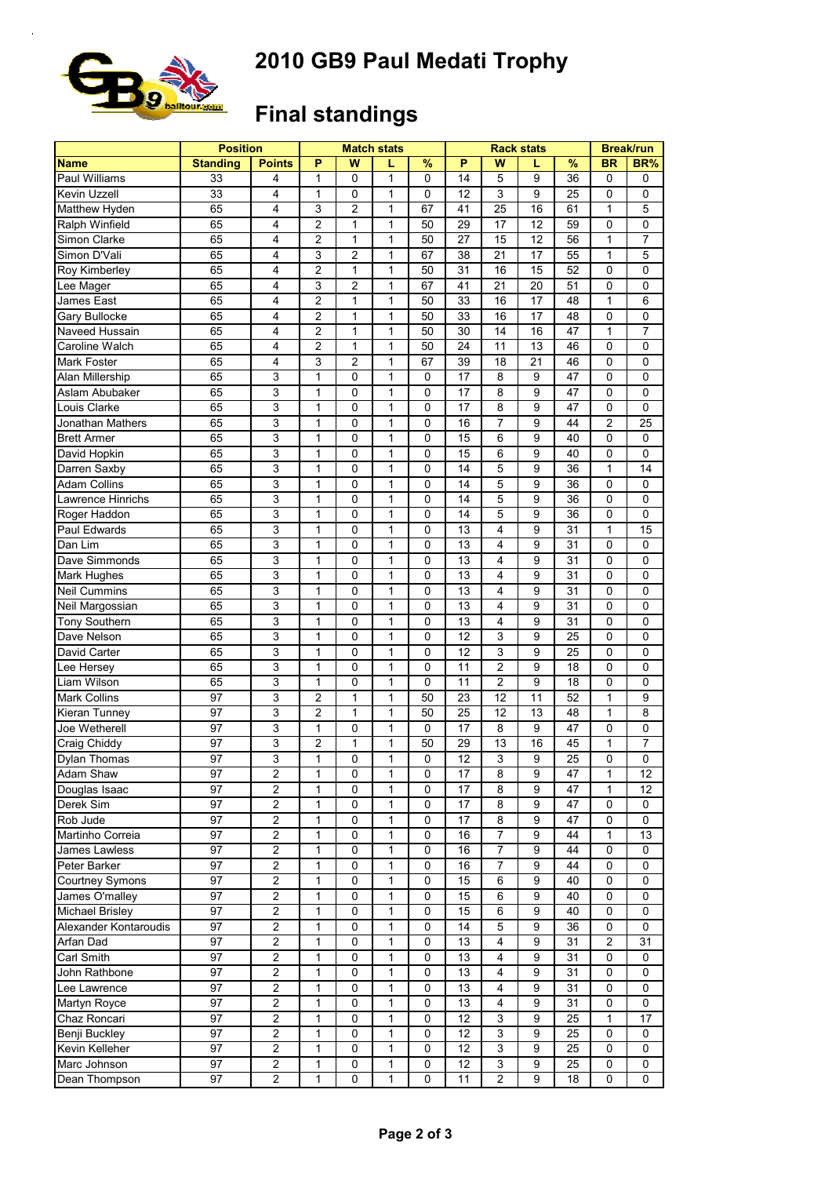

# **2010 GB9 Paul Medati Trophy**

## **Final standings**

|                        | <b>Position</b> |                         |                |                | <b>Match stats</b> |             |                 | <b>Rack stats</b> | <b>Break/run</b> |                 |                |                |
|------------------------|-----------------|-------------------------|----------------|----------------|--------------------|-------------|-----------------|-------------------|------------------|-----------------|----------------|----------------|
| <b>Name</b>            | <b>Standing</b> | <b>Points</b>           | P              | W              |                    | $\%$        | P               | W                 | L                | $\frac{9}{6}$   | <b>BR</b>      | BR%            |
| Paul Williams          | 33              | 4                       | 1              | 0              | 1                  | 0           | 14              | 5                 | 9                | 36              | 0              | 0              |
| Kevin Uzzell           | 33              | 4                       | 1              | 0              | 1                  | 0           | 12              | 3                 | 9                | 25              | 0              | 0              |
| Matthew Hyden          | 65              | $\overline{4}$          | 3              | $\overline{c}$ | 1                  | 67          | 41              | 25                | 16               | 61              | 1              | 5              |
| Ralph Winfield         | 65              | 4                       | $\overline{c}$ | 1              | 1                  | 50          | 29              | 17                | 12               | 59              | 0              | $\mathbf 0$    |
| Simon Clarke           | 65              | 4                       | $\overline{2}$ | 1              | 1                  | 50          | 27              | 15                | 12               | 56              | $\mathbf{1}$   | $\overline{7}$ |
| Simon D'Vali           | 65              | 4                       | 3              | $\overline{c}$ | 1                  | 67          | 38              | 21                | 17               | 55              | $\mathbf{1}$   | 5              |
| Roy Kimberley          | 65              | 4                       | $\overline{c}$ | 1              | 1                  | 50          | 31              | 16                | 15               | 52              | 0              | $\mathbf 0$    |
| Lee Mager              | 65              | 4                       | 3              | 2              | 1                  | 67          | 41              | 21                | 20               | 51              | 0              | $\mathbf 0$    |
| James East             | 65              | $\overline{4}$          | $\overline{2}$ | 1              | $\mathbf{1}$       | 50          | 33              | 16                | 17               | 48              | $\mathbf{1}$   | 6              |
| Gary Bullocke          | 65              | 4                       | $\overline{c}$ | 1              | $\mathbf{1}$       | 50          | 33              | 16                | $\overline{17}$  | 48              | $\mathbf 0$    | $\mathbf 0$    |
| Naveed Hussain         | 65              | 4                       | $\overline{2}$ | 1              | 1                  | 50          | 30              | 14                | 16               | 47              | $\mathbf{1}$   | $\overline{7}$ |
| Caroline Walch         | 65              | $\overline{4}$          | $\overline{2}$ | 1              | 1                  | 50          | 24              | 11                | 13               | 46              | 0              | $\mathbf 0$    |
| Mark Foster            | 65              | 4                       | 3              | $\overline{c}$ | 1                  | 67          | 39              | 18                | 21               | 46              | 0              | 0              |
| Alan Millership        | 65              | 3                       | 1              | 0              | 1                  | 0           | $\overline{17}$ | 8                 | 9                | 47              | $\mathbf 0$    | $\mathbf 0$    |
| Aslam Abubaker         | 65              | 3                       | $\mathbf{1}$   | 0              | 1                  | 0           | 17              | 8                 | 9                | 47              | 0              | $\mathbf 0$    |
| Louis Clarke           | 65              | 3                       | $\mathbf{1}$   | 0              | 1                  | 0           | 17              | 8                 | 9                | 47              | 0              | $\mathbf 0$    |
| Jonathan Mathers       | 65              | 3                       | $\mathbf{1}$   | 0              | 1                  | 0           | 16              | $\overline{7}$    | 9                | 44              | $\overline{2}$ | 25             |
|                        |                 |                         |                |                |                    |             |                 |                   | 9                |                 |                |                |
| <b>Brett Armer</b>     | 65              | $\mathsf 3$             | 1              | 0              | 1                  | 0           | 15              | 6                 |                  | 40              | 0              | $\mathbf 0$    |
| David Hopkin           | 65              | 3                       | 1              | 0              | 1                  | 0           | 15              | 6                 | 9                | 40              | 0              | 0              |
| Darren Saxby           | 65              | 3                       | $\mathbf{1}$   | 0              | $\mathbf{1}$       | $\mathbf 0$ | 14              | 5                 | 9                | 36              | $\mathbf{1}$   | 14             |
| <b>Adam Collins</b>    | 65              | 3                       | $\mathbf{1}$   | 0              | $\mathbf{1}$       | 0           | 14              | 5                 | 9                | 36              | 0              | $\mathbf 0$    |
| Lawrence Hinrichs      | 65              | 3                       | $\mathbf{1}$   | 0              | 1                  | 0           | 14              | 5                 | 9                | 36              | 0              | $\mathbf 0$    |
| Roger Haddon           | 65              | 3                       | $\mathbf{1}$   | 0              | 1                  | $\mathbf 0$ | 14              | 5                 | 9                | 36              | 0              | $\mathbf 0$    |
| Paul Edwards           | 65              | $\mathsf 3$             | $\mathbf{1}$   | 0              | 1                  | 0           | 13              | 4                 | 9                | 31              | $\mathbf{1}$   | 15             |
| Dan Lim                | 65              | $\mathsf 3$             | 1              | 0              | 1                  | 0           | 13              | 4                 | 9                | 31              | $\mathbf 0$    | $\mathbf 0$    |
| Dave Simmonds          | 65              | 3                       | 1              | 0              | 1                  | 0           | 13              | 4                 | 9                | 31              | 0              | $\mathbf 0$    |
| Mark Hughes            | 65              | 3                       | $\mathbf{1}$   | 0              | $\mathbf{1}$       | 0           | 13              | 4                 | 9                | 31              | $\mathbf 0$    | $\mathbf 0$    |
| <b>Neil Cummins</b>    | 65              | $\mathsf 3$             | $\mathbf{1}$   | 0              | $\mathbf{1}$       | $\mathbf 0$ | 13              | 4                 | 9                | 31              | $\pmb{0}$      | $\mathbf 0$    |
| Neil Margossian        | 65              | 3                       | 1              | 0              | 1                  | 0           | $\overline{13}$ | 4                 | 9                | $\overline{31}$ | 0              | $\mathbf 0$    |
| Tony Southern          | 65              | 3                       | 1              | 0              | 1                  | 0           | 13              | 4                 | 9                | 31              | 0              | 0              |
| Dave Nelson            | 65              | 3                       | 1              | 0              | $\mathbf{1}$       | $\mathbf 0$ | 12              | 3                 | 9                | 25              | $\pmb{0}$      | $\mathbf 0$    |
| David Carter           | 65              | 3                       | $\mathbf 1$    | 0              | 1                  | 0           | 12              | 3                 | 9                | 25              | 0              | $\mathbf 0$    |
| Lee Hersev             | 65              | 3                       | $\mathbf{1}$   | 0              | 1                  | $\mathbf 0$ | 11              | $\overline{2}$    | 9                | 18              | 0              | $\mathbf 0$    |
| Liam Wilson            | 65              | $\mathsf 3$             | $\mathbf{1}$   | 0              | $\mathbf{1}$       | $\mathbf 0$ | 11              | $\overline{2}$    | 9                | 18              | 0              | $\mathbf 0$    |
| <b>Mark Collins</b>    | 97              | $\mathsf 3$             | $\overline{2}$ | 1              | 1                  | 50          | 23              | 12                | 11               | 52              | $\mathbf{1}$   | 9              |
| Kieran Tunney          | 97              | 3                       | $\overline{2}$ | 1              | 1                  | 50          | 25              | 12                | 13               | 48              | $\mathbf{1}$   | 8              |
| Joe Wetherell          | 97              | 3                       | $\mathbf{1}$   | 0              | $\mathbf{1}$       | 0           | 17              | 8                 | 9                | 47              | 0              | $\mathbf 0$    |
| Craig Chiddy           | 97              | 3                       | $\overline{2}$ | 1              | $\mathbf{1}$       | 50          | 29              | 13                | 16               | 45              | $\mathbf{1}$   | $\overline{7}$ |
| <b>Dylan Thomas</b>    | 97              | 3                       | 1              | 0              | 1                  | $\mathbf 0$ | 12              | 3                 | 9                | 25              | 0              | $\mathbf 0$    |
| <b>Adam Shaw</b>       | 97              | 2                       | 1              | 0              | 1                  | 0           | 17              | 8                 | 9                | 47              | 1              | 12             |
| Douglas Isaac          | 97              | $\overline{c}$          | 1              | 0              | 1                  | 0           | 17              | 8                 | 9                | 47              | 1              | 12             |
| Derek Sim              | 97              | $\overline{2}$          | 1              | 0              | 1                  | 0           | 17              | 8                 | 9                | 47              | $\pmb{0}$      | 0              |
| Rob Jude               | 97              | $\overline{c}$          | $\mathbf{1}$   | 0              | $\mathbf{1}$       | 0           | 17              | 8                 | 9                | 47              | 0              | 0              |
| Martinho Correia       | 97              | $\overline{c}$          | $\mathbf{1}$   | 0              | $\mathbf{1}$       | 0           | 16              | $\overline{7}$    | 9                | 44              | $\mathbf{1}$   | 13             |
| James Lawless          | 97              | $\overline{2}$          | 1              | 0              | 1                  | 0           | 16              | $\overline{7}$    | 9                | 44              | $\pmb{0}$      | 0              |
| Peter Barker           | 97              | $\boldsymbol{2}$        | 1              | 0              | 1                  | 0           | 16              | $\overline{7}$    | 9                | 44              | 0              | 0              |
| Courtney Symons        | 97              | $\boldsymbol{2}$        | 1              | 0              | 1                  | 0           | 15              | 6                 | 9                | 40              | 0              | 0              |
| James O'malley         | 97              | $\overline{2}$          | 1              | 0              | 1                  | 0           | 15              | 6                 | 9                | 40              | $\pmb{0}$      | 0              |
| <b>Michael Brisley</b> | 97              | $\overline{2}$          | $\mathbf{1}$   | 0              | 1                  | 0           | 15              | $\,6\,$           | 9                | 40              | $\pmb{0}$      | 0              |
| Alexander Kontaroudis  | 97              | $\overline{2}$          | 1              | 0              | 1                  | 0           | 14              | 5                 | 9                | 36              | $\pmb{0}$      | $\mathbf 0$    |
| Arfan Dad              | 97              | $\overline{2}$          | $\mathbf{1}$   | 0              |                    | 0           | 13              | 4                 | 9                |                 | $\overline{2}$ | 31             |
|                        |                 |                         |                |                | 1                  |             |                 |                   |                  | 31              |                |                |
| Carl Smith             | 97              | $\overline{\mathbf{c}}$ | 1              | 0              | $\mathbf{1}$       | 0           | 13              | 4                 | 9                | 31              | 0              | 0              |
| John Rathbone          | 97              | $\boldsymbol{2}$        | 1              | 0              | 1                  | 0           | 13              | 4                 | 9                | 31              | $\pmb{0}$      | 0              |
| Lee Lawrence           | 97              | $\overline{c}$          | $\mathbf{1}$   | 0              | $\mathbf{1}$       | 0           | 13              | 4                 | 9                | 31              | 0              | 0              |
| Martyn Royce           | 97              | $\overline{c}$          | $\mathbf{1}$   | 0              | $\mathbf{1}$       | 0           | 13              | 4                 | 9                | 31              | 0              | 0              |
| Chaz Roncari           | 97              | $\overline{c}$          | 1              | 0              | $\mathbf{1}$       | 0           | 12              | 3                 | 9                | 25              | $\mathbf{1}$   | 17             |
| Benji Buckley          | 97              | $\overline{\mathbf{c}}$ | 1              | 0              | 1                  | 0           | 12              | 3                 | 9                | 25              | 0              | 0              |
| Kevin Kelleher         | 97              | $\overline{c}$          | 1              | 0              | 1                  | 0           | 12              | 3                 | 9                | 25              | 0              | 0              |
| Marc Johnson           | 97              | $\overline{\mathbf{c}}$ | $\mathbf{1}$   | 0              | $\mathbf{1}$       | $\mathbf 0$ | 12              | 3                 | 9                | 25              | $\pmb{0}$      | 0              |
| Dean Thompson          | 97              | $\overline{c}$          | $\mathbf{1}$   | 0              | 1                  | 0           | 11              | $\overline{c}$    | 9                | 18              | 0              | 0              |